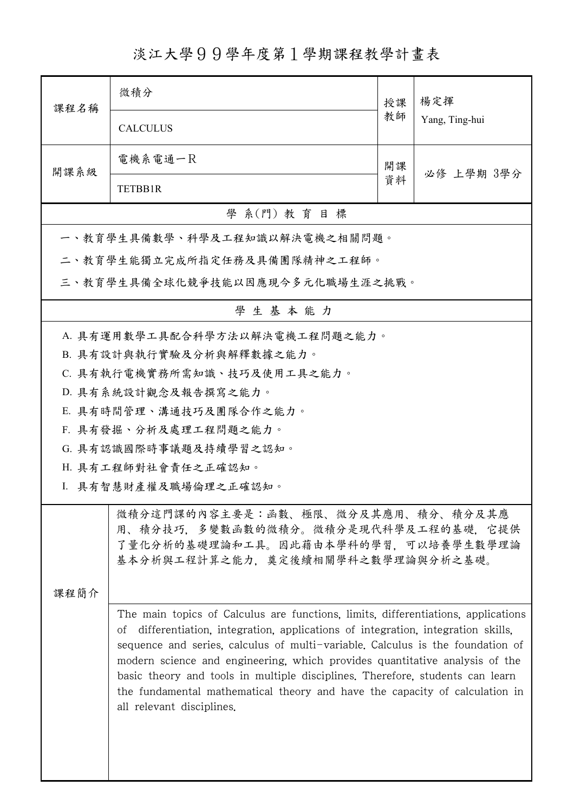淡江大學99學年度第1學期課程教學計畫表

| 课程名稱                                                                                                                                                                                                                                                                                                                                                                                                                                                                                                                                    | 微積分                             | 授課 | 楊定揮            |  |  |
|-----------------------------------------------------------------------------------------------------------------------------------------------------------------------------------------------------------------------------------------------------------------------------------------------------------------------------------------------------------------------------------------------------------------------------------------------------------------------------------------------------------------------------------------|---------------------------------|----|----------------|--|--|
|                                                                                                                                                                                                                                                                                                                                                                                                                                                                                                                                         | <b>CALCULUS</b>                 | 教師 | Yang, Ting-hui |  |  |
| 開課系級                                                                                                                                                                                                                                                                                                                                                                                                                                                                                                                                    | 電機系電通一尺                         | 開課 |                |  |  |
|                                                                                                                                                                                                                                                                                                                                                                                                                                                                                                                                         | TETBB1R                         | 資料 | 必修 上學期 3學分     |  |  |
|                                                                                                                                                                                                                                                                                                                                                                                                                                                                                                                                         | 學 系(門) 教育目標                     |    |                |  |  |
|                                                                                                                                                                                                                                                                                                                                                                                                                                                                                                                                         | 一、教育學生具備數學、科學及工程知識以解決電機之相關問題。   |    |                |  |  |
|                                                                                                                                                                                                                                                                                                                                                                                                                                                                                                                                         | 二、教育學生能獨立完成所指定任務及具備團隊精神之工程師。    |    |                |  |  |
|                                                                                                                                                                                                                                                                                                                                                                                                                                                                                                                                         | 三、教育學生具備全球化競爭技能以因應現今多元化職場生涯之挑戰。 |    |                |  |  |
|                                                                                                                                                                                                                                                                                                                                                                                                                                                                                                                                         | 學生基本能力                          |    |                |  |  |
|                                                                                                                                                                                                                                                                                                                                                                                                                                                                                                                                         | A. 具有運用數學工具配合科學方法以解決電機工程問題之能力。  |    |                |  |  |
|                                                                                                                                                                                                                                                                                                                                                                                                                                                                                                                                         | B. 具有設計與執行實驗及分析與解釋數據之能力。        |    |                |  |  |
|                                                                                                                                                                                                                                                                                                                                                                                                                                                                                                                                         | C. 具有執行電機實務所需知識、技巧及使用工具之能力。     |    |                |  |  |
|                                                                                                                                                                                                                                                                                                                                                                                                                                                                                                                                         | D. 具有系統設計觀念及報告撰寫之能力。            |    |                |  |  |
|                                                                                                                                                                                                                                                                                                                                                                                                                                                                                                                                         | E. 具有時間管理、溝通技巧及團隊合作之能力。         |    |                |  |  |
|                                                                                                                                                                                                                                                                                                                                                                                                                                                                                                                                         | F. 具有發掘、分析及處理工程問題之能力。           |    |                |  |  |
|                                                                                                                                                                                                                                                                                                                                                                                                                                                                                                                                         | G. 具有認識國際時事議題及持續學習之認知。          |    |                |  |  |
|                                                                                                                                                                                                                                                                                                                                                                                                                                                                                                                                         | H. 具有工程師對社會責任之正確認知。             |    |                |  |  |
|                                                                                                                                                                                                                                                                                                                                                                                                                                                                                                                                         | I. 具有智慧財產權及職場倫理之正確認知。           |    |                |  |  |
| 微積分這門課的內容主要是:函數、極限、微分及其應用、積分、積分及其應<br>用、積分技巧,多變數函數的微積分。微積分是現代科學及工程的基礎,它提供<br>了量化分析的基礎理論和工具。因此藉由本學科的學習,可以培養學生數學理論<br>基本分析與工程計算之能力,奠定後續相關學科之數學理論與分析之基礎。                                                                                                                                                                                                                                                                                                                                                                                   |                                 |    |                |  |  |
| 课程简介                                                                                                                                                                                                                                                                                                                                                                                                                                                                                                                                    |                                 |    |                |  |  |
| The main topics of Calculus are functions, limits, differentiations, applications<br>differentiation, integration, applications of integration, integration skills,<br>Οİ<br>sequence and series, calculus of multi-variable. Calculus is the foundation of<br>modern science and engineering, which provides quantitative analysis of the<br>basic theory and tools in multiple disciplines. Therefore, students can learn<br>the fundamental mathematical theory and have the capacity of calculation in<br>all relevant disciplines. |                                 |    |                |  |  |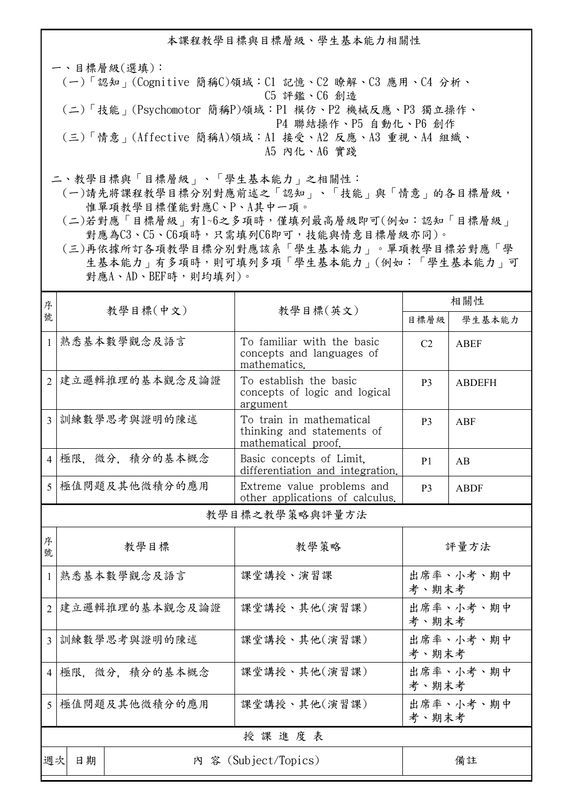本課程教學目標與目標層級、學生基本能力相關性

一、目標層級(選填): (一)「認知」(Cognitive 簡稱C)領域:C1 記憶、C2 瞭解、C3 應用、C4 分析、 C5 評鑑、C6 創造 (二)「技能」(Psychomotor 簡稱P)領域:P1 模仿、P2 機械反應、P3 獨立操作、 P4 聯結操作、P5 自動化、P6 創作 (三)「情意」(Affective 簡稱A)領域:A1 接受、A2 反應、A3 重視、A4 組織、 A5 內化、A6 實踐

二、教學目標與「目標層級」、「學生基本能力」之相關性:

 (一)請先將課程教學目標分別對應前述之「認知」、「技能」與「情意」的各目標層級, 惟單項教學目標僅能對應C、P、A其中一項。

 (二)若對應「目標層級」有1~6之多項時,僅填列最高層級即可(例如:認知「目標層級」 對應為C3、C5、C6項時,只需填列C6即可,技能與情意目標層級亦同)。

 (三)再依據所訂各項教學目標分別對應該系「學生基本能力」。單項教學目標若對應「學 生基本能力」有多項時,則可填列多項「學生基本能力」(例如:「學生基本能力」可 對應A、AD、BEF時,則均填列)。

| 序              |                   |                                                                               | 相關性            |               |  |  |
|----------------|-------------------|-------------------------------------------------------------------------------|----------------|---------------|--|--|
| 號              |                   | 教學目標(中文)<br>教學目標(英文)                                                          |                | 學生基本能力        |  |  |
| $\mathbf{1}$   | 熟悉基本數學觀念及語言       | To familiar with the basic<br>concepts and languages of<br>mathematics.       | C <sub>2</sub> | <b>ABEF</b>   |  |  |
|                | 2 建立邏輯推理的基本觀念及論證  | To establish the basic<br>concepts of logic and logical<br>argument           | P <sub>3</sub> | <b>ABDEFH</b> |  |  |
|                | 3 訓練數學思考與證明的陳述    | To train in mathematical<br>thinking and statements of<br>mathematical proof. | P <sub>3</sub> | ABF           |  |  |
|                | 4 極限. 微分. 積分的基本概念 | Basic concepts of Limit.<br>differentiation and integration.                  | P <sub>1</sub> | AB            |  |  |
|                | 5 極值問題及其他微積分的應用   | Extreme value problems and<br>other applications of calculus.                 | P <sub>3</sub> | <b>ABDF</b>   |  |  |
| 教學目標之教學策略與評量方法 |                   |                                                                               |                |               |  |  |
| 序<br>號         | 教學目標              | 教學策略                                                                          |                | 評量方法          |  |  |
| $\mathbf{1}$   | 熟悉基本數學觀念及語言       | 課堂講授、演習課                                                                      | 考、期末考          | 出席率、小考、期中     |  |  |
| $\overline{2}$ | 建立邏輯推理的基本觀念及論證    | 課堂講授、其他(演習課)                                                                  | 考、期末考          | 出席率、小考、期中     |  |  |
| $\overline{3}$ | 訓練數學思考與證明的陳述      | 課堂講授、其他(演習課)                                                                  | 考、期末考          | 出席率、小考、期中     |  |  |
| $\overline{4}$ | 極限. 微分. 積分的基本概念   | 課堂講授、其他(演習課)                                                                  | 考、期末考          | 出席率、小考、期中     |  |  |
| 5              | 極值問題及其他微積分的應用     | 課堂講授、其他(演習課)                                                                  | 考、期末考          | 出席率、小考、期中     |  |  |
|                | 授課進度表             |                                                                               |                |               |  |  |
| 週次             | 日期                | 内 容 (Subject/Topics)                                                          |                | 備註            |  |  |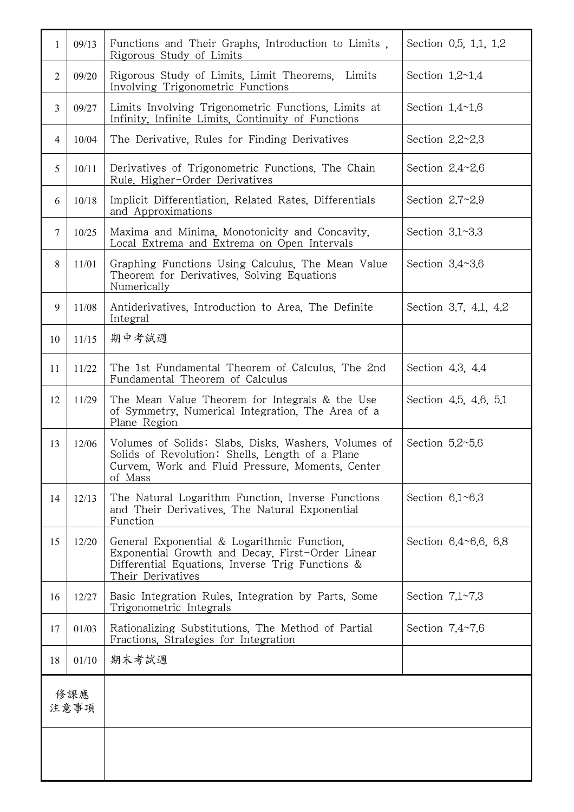| 1               | 09/13 | Functions and Their Graphs, Introduction to Limits,<br>Rigorous Study of Limits                                                                                          | Section 0.5, 1.1, 1.2    |
|-----------------|-------|--------------------------------------------------------------------------------------------------------------------------------------------------------------------------|--------------------------|
| $\overline{2}$  | 09/20 | Rigorous Study of Limits, Limit Theorems,<br>Limits<br>Involving Trigonometric Functions                                                                                 | Section $1.2 \sim 1.4$   |
| $\overline{3}$  | 09/27 | Limits Involving Trigonometric Functions, Limits at<br>Infinity, Infinite Limits, Continuity of Functions                                                                | Section $1.4 \sim 1.6$   |
| $\overline{4}$  | 10/04 | The Derivative, Rules for Finding Derivatives                                                                                                                            | Section $2.2 - 2.3$      |
| 5               | 10/11 | Derivatives of Trigonometric Functions. The Chain<br>Rule, Higher-Order Derivatives                                                                                      | Section $2.4 - 2.6$      |
| 6               | 10/18 | Implicit Differentiation, Related Rates, Differentials<br>and Approximations                                                                                             | Section $2.7~2.9$        |
| $7\phantom{.0}$ | 10/25 | Maxima and Minima, Monotonicity and Concavity,<br>Local Extrema and Extrema on Open Intervals                                                                            | Section $3.1~3.3$        |
| 8               | 11/01 | Graphing Functions Using Calculus, The Mean Value<br>Theorem for Derivatives, Solving Equations<br>Numerically                                                           | Section $3.4 \times 3.6$ |
| 9               | 11/08 | Antiderivatives, Introduction to Area, The Definite<br>Integral                                                                                                          | Section 3.7, 4.1, 4.2    |
| 10              | 11/15 | 期中考試週                                                                                                                                                                    |                          |
| 11              | 11/22 | The 1st Fundamental Theorem of Calculus, The 2nd<br>Fundamental Theorem of Calculus                                                                                      | Section 4.3, 4.4         |
| 12              | 11/29 | The Mean Value Theorem for Integrals & the Use<br>of Symmetry, Numerical Integration, The Area of a<br>Plane Region                                                      | Section 4.5, 4.6, 5.1    |
| 13              | 12/06 | Volumes of Solids: Slabs, Disks, Washers, Volumes of<br>Solids of Revolution: Shells, Length of a Plane<br>Curvem, Work and Fluid Pressure, Moments, Center<br>of Mass   | Section $5.2 \times 5.6$ |
| 14              | 12/13 | The Natural Logarithm Function, Inverse Functions<br>and Their Derivatives, The Natural Exponential<br>Function                                                          | Section $6.1~6.3$        |
| 15              | 12/20 | General Exponential & Logarithmic Function.<br>Exponential Growth and Decay, First-Order Linear<br>Differential Equations, Inverse Trig Functions &<br>Their Derivatives | Section 6.4~6.6, 6.8     |
| 16              | 12/27 | Basic Integration Rules, Integration by Parts, Some<br>Trigonometric Integrals                                                                                           | Section $7.1~7.3$        |
| 17              | 01/03 | Rationalizing Substitutions, The Method of Partial<br>Fractions, Strategies for Integration                                                                              | Section $7.4~7.6$        |
| 18              | 01/10 | 期末考試週                                                                                                                                                                    |                          |
| 修課應<br>注意事項     |       |                                                                                                                                                                          |                          |
|                 |       |                                                                                                                                                                          |                          |
|                 |       |                                                                                                                                                                          |                          |